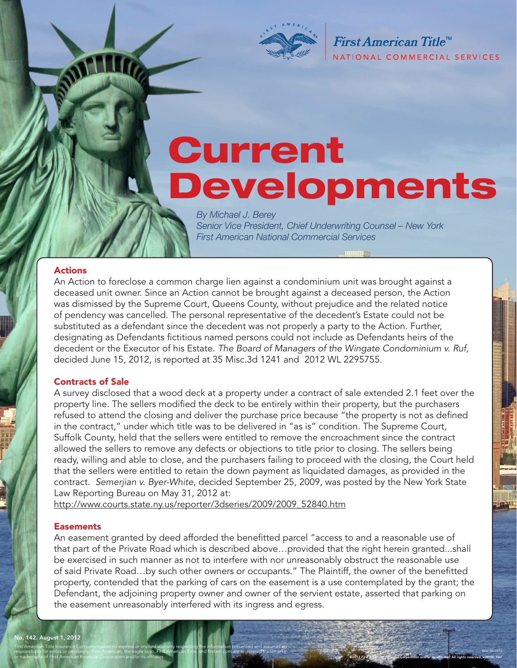

First American Title<sup>™</sup> NATIONAL COMMERCIAL SERVICES

©2012 First American Financial Corporation and/or its affiliates. All rights reserved. NYSE: FAF

REV: 08/2012

# Current Developments

*By Michael J. Berey Senior Vice President, Chief Underwriting Counsel – New York First American National Commercial Services* 

#### Actions

An Action to foreclose a common charge lien against a condominium unit was brought against a deceased unit owner. Since an Action cannot be brought against a deceased person, the Action was dismissed by the Supreme Court, Queens County, without prejudice and the related notice of pendency was cancelled. The personal representative of the decedent's Estate could not be substituted as a defendant since the decedent was not properly a party to the Action. Further, designating as Defendants fictitious named persons could not include as Defendants heirs of the decedent or the Executor of his Estate. *The Board of Managers of the Wingate Condominium v. Ruf,*  decided June 15, 2012, is reported at 35 Misc.3d 1241 and 2012 WL 2295755.

#### Contracts of Sale

A survey disclosed that a wood deck at a property under a contract of sale extended 2.1 feet over the property line. The sellers modified the deck to be entirely within their property, but the purchasers refused to attend the closing and deliver the purchase price because "the property is not as defined in the contract," under which title was to be delivered in "as is" condition. The Supreme Court, Suffolk County, held that the sellers were entitled to remove the encroachment since the contract allowed the sellers to remove any defects or objections to title prior to closing. The sellers being ready, willing and able to close, and the purchasers failing to proceed with the closing, the Court held that the sellers were entitled to retain the down payment as liquidated damages, as provided in the contract. *Semerjian v. Byer-White*, decided September 25, 2009, was posted by the New York State Law Reporting Bureau on May 31, 2012 at:

http://www.courts.state.ny.us/reporter/3dseries/2009/2009\_52840.htm

First American Title Insurance Company makes no express or implied warranty respecting the information presented and assumes no responsibility for errors or omissions. First American, the eagle logo, First American Title, and firstam.com are registered trademarks

#### **Easements**

or trademarks of First American Financial Corporation and/or its affiliates.

An easement granted by deed afforded the benefitted parcel "access to and a reasonable use of that part of the Private Road which is described above…provided that the right herein granted...shall be exercised in such manner as not to interfere with nor unreasonably obstruct the reasonable use of said Private Road…by such other owners or occupants." The Plaintiff, the owner of the benefitted property, contended that the parking of cars on the easement is a use contemplated by the grant; the Defendant, the adjoining property owner and owner of the servient estate, asserted that parking on the easement unreasonably interfered with its ingress and egress.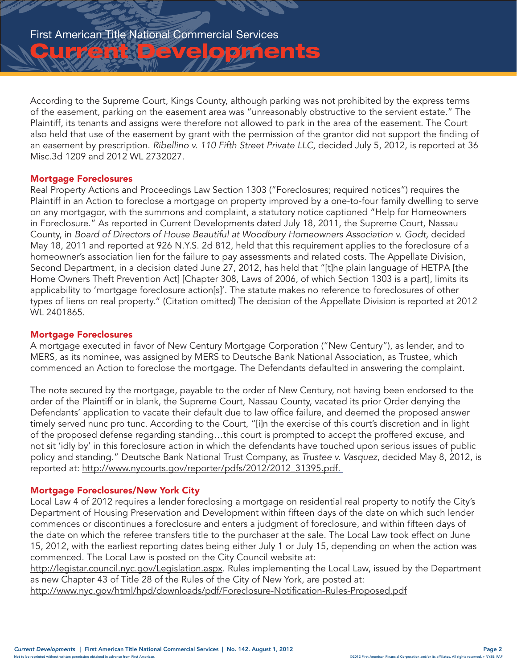**Chrise Developments** 

According to the Supreme Court, Kings County, although parking was not prohibited by the express terms of the easement, parking on the easement area was "unreasonably obstructive to the servient estate." The Plaintiff, its tenants and assigns were therefore not allowed to park in the area of the easement. The Court also held that use of the easement by grant with the permission of the grantor did not support the finding of an easement by prescription. *Ribellino v. 110 Fifth Street Private LLC,* decided July 5, 2012, is reported at 36 Misc.3d 1209 and 2012 WL 2732027.

#### Mortgage Foreclosures

Real Property Actions and Proceedings Law Section 1303 ("Foreclosures; required notices") requires the Plaintiff in an Action to foreclose a mortgage on property improved by a one-to-four family dwelling to serve on any mortgagor, with the summons and complaint, a statutory notice captioned "Help for Homeowners in Foreclosure." As reported in Current Developments dated July 18, 2011, the Supreme Court, Nassau County, in *Board of Directors of House Beautiful at Woodbury Homeowners Association v. Godt,* decided May 18, 2011 and reported at 926 N.Y.S. 2d 812, held that this requirement applies to the foreclosure of a homeowner's association lien for the failure to pay assessments and related costs. The Appellate Division, Second Department, in a decision dated June 27, 2012, has held that "[t]he plain language of HETPA [the Home Owners Theft Prevention Act] [Chapter 308, Laws of 2006, of which Section 1303 is a part], limits its applicability to 'mortgage foreclosure action[s]'. The statute makes no reference to foreclosures of other types of liens on real property." (Citation omitted) The decision of the Appellate Division is reported at 2012 WL 2401865.

#### Mortgage Foreclosures

A mortgage executed in favor of New Century Mortgage Corporation ("New Century"), as lender, and to MERS, as its nominee, was assigned by MERS to Deutsche Bank National Association, as Trustee, which commenced an Action to foreclose the mortgage. The Defendants defaulted in answering the complaint.

The note secured by the mortgage, payable to the order of New Century, not having been endorsed to the order of the Plaintiff or in blank, the Supreme Court, Nassau County, vacated its prior Order denying the Defendants' application to vacate their default due to law office failure, and deemed the proposed answer timely served nunc pro tunc. According to the Court, "[i]n the exercise of this court's discretion and in light of the proposed defense regarding standing…this court is prompted to accept the proffered excuse, and not sit 'idly by' in this foreclosure action in which the defendants have touched upon serious issues of public policy and standing." Deutsche Bank National Trust Company, as *Trustee v. Vasquez*, decided May 8, 2012, is reported at: http://www.nycourts.gov/reporter/pdfs/2012/2012\_31395.pdf.

#### Mortgage Foreclosures/New York City

Local Law 4 of 2012 requires a lender foreclosing a mortgage on residential real property to notify the City's Department of Housing Preservation and Development within fifteen days of the date on which such lender commences or discontinues a foreclosure and enters a judgment of foreclosure, and within fifteen days of the date on which the referee transfers title to the purchaser at the sale. The Local Law took effect on June 15, 2012, with the earliest reporting dates being either July 1 or July 15, depending on when the action was commenced. The Local Law is posted on the City Council website at:

http://legistar.council.nyc.gov/Legislation.aspx. Rules implementing the Local Law, issued by the Department as new Chapter 43 of Title 28 of the Rules of the City of New York, are posted at:

http://www.nyc.gov/html/hpd/downloads/pdf/Foreclosure-Notification-Rules-Proposed.pdf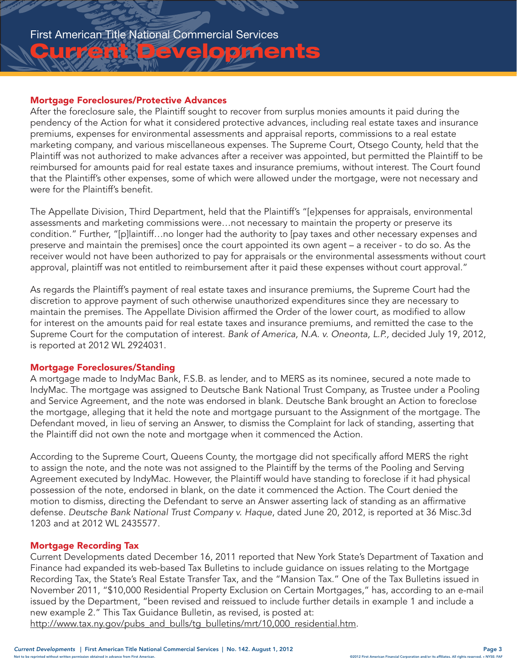## First American Title National Commercial Services

# <u>Iu Christe Evelopments</u>

#### Mortgage Foreclosures/Protective Advances

After the foreclosure sale, the Plaintiff sought to recover from surplus monies amounts it paid during the pendency of the Action for what it considered protective advances, including real estate taxes and insurance premiums, expenses for environmental assessments and appraisal reports, commissions to a real estate marketing company, and various miscellaneous expenses. The Supreme Court, Otsego County, held that the Plaintiff was not authorized to make advances after a receiver was appointed, but permitted the Plaintiff to be reimbursed for amounts paid for real estate taxes and insurance premiums, without interest. The Court found that the Plaintiff's other expenses, some of which were allowed under the mortgage, were not necessary and were for the Plaintiff's benefit.

The Appellate Division, Third Department, held that the Plaintiff's "[e]xpenses for appraisals, environmental assessments and marketing commissions were…not necessary to maintain the property or preserve its condition." Further, "[p]laintiff…no longer had the authority to [pay taxes and other necessary expenses and preserve and maintain the premises] once the court appointed its own agent – a receiver - to do so. As the receiver would not have been authorized to pay for appraisals or the environmental assessments without court approval, plaintiff was not entitled to reimbursement after it paid these expenses without court approval."

As regards the Plaintiff's payment of real estate taxes and insurance premiums, the Supreme Court had the discretion to approve payment of such otherwise unauthorized expenditures since they are necessary to maintain the premises. The Appellate Division affirmed the Order of the lower court, as modified to allow for interest on the amounts paid for real estate taxes and insurance premiums, and remitted the case to the Supreme Court for the computation of interest. *Bank of America, N.A. v. Oneonta, L.P.,* decided July 19, 2012, is reported at 2012 WL 2924031.

#### Mortgage Foreclosures/Standing

A mortgage made to IndyMac Bank, F.S.B. as lender, and to MERS as its nominee, secured a note made to IndyMac. The mortgage was assigned to Deutsche Bank National Trust Company, as Trustee under a Pooling and Service Agreement, and the note was endorsed in blank. Deutsche Bank brought an Action to foreclose the mortgage, alleging that it held the note and mortgage pursuant to the Assignment of the mortgage. The Defendant moved, in lieu of serving an Answer, to dismiss the Complaint for lack of standing, asserting that the Plaintiff did not own the note and mortgage when it commenced the Action.

According to the Supreme Court, Queens County, the mortgage did not specifically afford MERS the right to assign the note, and the note was not assigned to the Plaintiff by the terms of the Pooling and Serving Agreement executed by IndyMac. However, the Plaintiff would have standing to foreclose if it had physical possession of the note, endorsed in blank, on the date it commenced the Action. The Court denied the motion to dismiss, directing the Defendant to serve an Answer asserting lack of standing as an affirmative defense. *Deutsche Bank National Trust Company v. Haque*, dated June 20, 2012, is reported at 36 Misc.3d 1203 and at 2012 WL 2435577.

#### Mortgage Recording Tax

Current Developments dated December 16, 2011 reported that New York State's Department of Taxation and Finance had expanded its web-based Tax Bulletins to include guidance on issues relating to the Mortgage Recording Tax, the State's Real Estate Transfer Tax, and the "Mansion Tax." One of the Tax Bulletins issued in November 2011, "\$10,000 Residential Property Exclusion on Certain Mortgages," has, according to an e-mail issued by the Department, "been revised and reissued to include further details in example 1 and include a new example 2." This Tax Guidance Bulletin, as revised, is posted at:

http://www.tax.ny.gov/pubs\_and\_bulls/tg\_bulletins/mrt/10,000\_residential.htm.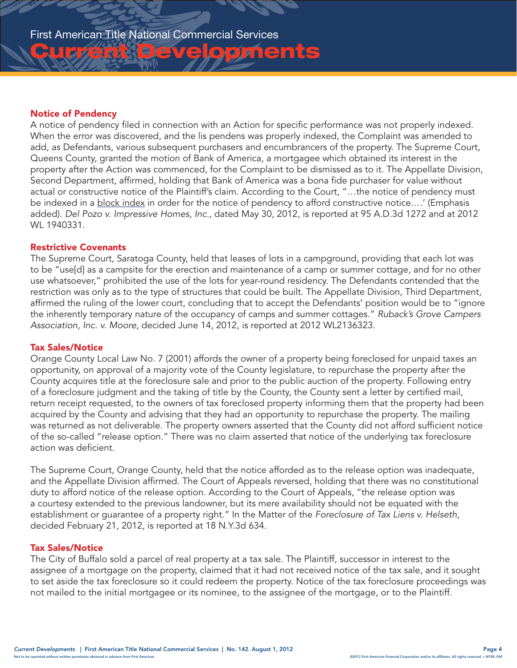#### Notice of Pendency

A notice of pendency filed in connection with an Action for specific performance was not properly indexed. When the error was discovered, and the lis pendens was properly indexed, the Complaint was amended to add, as Defendants, various subsequent purchasers and encumbrancers of the property. The Supreme Court, Queens County, granted the motion of Bank of America, a mortgagee which obtained its interest in the property after the Action was commenced, for the Complaint to be dismissed as to it. The Appellate Division, Second Department, affirmed, holding that Bank of America was a bona fide purchaser for value without actual or constructive notice of the Plaintiff's claim. According to the Court, "…the notice of pendency must be indexed in a block index in order for the notice of pendency to afford constructive notice....' (Emphasis added). *Del Pozo v. Impressive Homes, Inc.,* dated May 30, 2012, is reported at 95 A.D.3d 1272 and at 2012 WL 1940331.

ve opments

#### Restrictive Covenants

The Supreme Court, Saratoga County, held that leases of lots in a campground, providing that each lot was to be "use[d] as a campsite for the erection and maintenance of a camp or summer cottage, and for no other use whatsoever," prohibited the use of the lots for year-round residency. The Defendants contended that the restriction was only as to the type of structures that could be built. The Appellate Division, Third Department, affirmed the ruling of the lower court, concluding that to accept the Defendants' position would be to "ignore the inherently temporary nature of the occupancy of camps and summer cottages." *Ruback's Grove Campers Association, Inc. v. Moore,* decided June 14, 2012, is reported at 2012 WL2136323.

#### Tax Sales/Notice

Orange County Local Law No. 7 (2001) affords the owner of a property being foreclosed for unpaid taxes an opportunity, on approval of a majority vote of the County legislature, to repurchase the property after the County acquires title at the foreclosure sale and prior to the public auction of the property. Following entry of a foreclosure judgment and the taking of title by the County, the County sent a letter by certified mail, return receipt requested, to the owners of tax foreclosed property informing them that the property had been acquired by the County and advising that they had an opportunity to repurchase the property. The mailing was returned as not deliverable. The property owners asserted that the County did not afford sufficient notice of the so-called "release option." There was no claim asserted that notice of the underlying tax foreclosure action was deficient.

The Supreme Court, Orange County, held that the notice afforded as to the release option was inadequate, and the Appellate Division affirmed. The Court of Appeals reversed, holding that there was no constitutional duty to afford notice of the release option. According to the Court of Appeals, "the release option was a courtesy extended to the previous landowner, but its mere availability should not be equated with the establishment or guarantee of a property right." In the Matter of the *Foreclosure of Tax Liens v. Helseth,* decided February 21, 2012, is reported at 18 N.Y.3d 634.

#### Tax Sales/Notice

The City of Buffalo sold a parcel of real property at a tax sale. The Plaintiff, successor in interest to the assignee of a mortgage on the property, claimed that it had not received notice of the tax sale, and it sought to set aside the tax foreclosure so it could redeem the property. Notice of the tax foreclosure proceedings was not mailed to the initial mortgagee or its nominee, to the assignee of the mortgage, or to the Plaintiff.